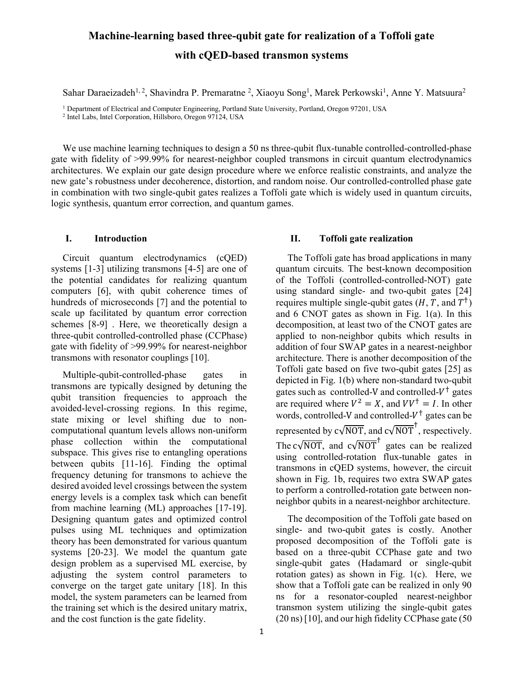# Machine-learning based three-qubit gate for realization of a Toffoli gate with cQED-based transmon systems

Sahar Daraeizadeh<sup>1, 2</sup>, Shavindra P. Premaratne <sup>2</sup>, Xiaoyu Song<sup>1</sup>, Marek Perkowski<sup>1</sup>, Anne Y. Matsuura<sup>2</sup>

<sup>1</sup> Department of Electrical and Computer Engineering, Portland State University, Portland, Oregon 97201, USA

2 Intel Labs, Intel Corporation, Hillsboro, Oregon 97124, USA

We use machine learning techniques to design a 50 ns three-qubit flux-tunable controlled-controlled-phase gate with fidelity of >99.99% for nearest-neighbor coupled transmons in circuit quantum electrodynamics architectures. We explain our gate design procedure where we enforce realistic constraints, and analyze the new gate's robustness under decoherence, distortion, and random noise. Our controlled-controlled phase gate in combination with two single-qubit gates realizes a Toffoli gate which is widely used in quantum circuits, logic synthesis, quantum error correction, and quantum games.

### I. Introduction

Circuit quantum electrodynamics (cQED) systems [1-3] utilizing transmons [4-5] are one of the potential candidates for realizing quantum computers [6], with qubit coherence times of hundreds of microseconds [7] and the potential to scale up facilitated by quantum error correction schemes [8-9] . Here, we theoretically design a three-qubit controlled-controlled phase (CCPhase) gate with fidelity of >99.99% for nearest-neighbor transmons with resonator couplings [10].

Multiple-qubit-controlled-phase gates in transmons are typically designed by detuning the qubit transition frequencies to approach the avoided-level-crossing regions. In this regime, state mixing or level shifting due to noncomputational quantum levels allows non-uniform phase collection within the computational subspace. This gives rise to entangling operations between qubits [11-16]. Finding the optimal frequency detuning for transmons to achieve the desired avoided level crossings between the system energy levels is a complex task which can benefit from machine learning (ML) approaches [17-19]. Designing quantum gates and optimized control pulses using ML techniques and optimization theory has been demonstrated for various quantum systems [20-23]. We model the quantum gate design problem as a supervised ML exercise, by adjusting the system control parameters to converge on the target gate unitary [18]. In this model, the system parameters can be learned from the training set which is the desired unitary matrix, and the cost function is the gate fidelity.

## II. Toffoli gate realization

The Toffoli gate has broad applications in many quantum circuits. The best-known decomposition of the Toffoli (controlled-controlled-NOT) gate using standard single- and two-qubit gates [24] requires multiple single-qubit gates  $(H, T, \text{ and } T^{\dagger})$ and 6 CNOT gates as shown in Fig. 1(a). In this decomposition, at least two of the CNOT gates are applied to non-neighbor qubits which results in addition of four SWAP gates in a nearest-neighbor architecture. There is another decomposition of the Toffoli gate based on five two-qubit gates [25] as depicted in Fig. 1(b) where non-standard two-qubit gates such as controlled-V and controlled- $V^{\dagger}$  gates are required where  $V^2 = X$ , and  $VV^{\dagger} = I$ . In other words, controlled-V and controlled- $V^{\dagger}$  gates can be represented by  $c\sqrt{NOT}$ , and  $c\sqrt{NOT}^{\dagger}$ , respectively. The c $\sqrt{NOT}$ , and  $c\sqrt{NOT}^{\dagger}$  gates can be realized using controlled-rotation flux-tunable gates in transmons in cQED systems, however, the circuit shown in Fig. 1b, requires two extra SWAP gates to perform a controlled-rotation gate between nonneighbor qubits in a nearest-neighbor architecture.

The decomposition of the Toffoli gate based on single- and two-qubit gates is costly. Another proposed decomposition of the Toffoli gate is based on a three-qubit CCPhase gate and two single-qubit gates (Hadamard or single-qubit rotation gates) as shown in Fig. 1(c). Here, we show that a Toffoli gate can be realized in only 90 ns for a resonator-coupled nearest-neighbor transmon system utilizing the single-qubit gates (20 ns) [10], and our high fidelity CCPhase gate (50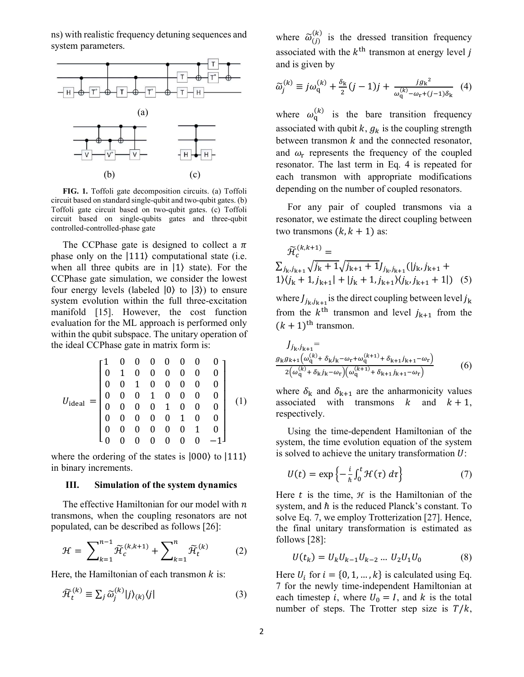ns) with realistic frequency detuning sequences and system parameters.



FIG. 1. Toffoli gate decomposition circuits. (a) Toffoli circuit based on standard single-qubit and two-qubit gates. (b) Toffoli gate circuit based on two-qubit gates. (c) Toffoli circuit based on single-qubits gates and three-qubit controlled-controlled-phase gate

The CCP has egate is designed to collect a  $\pi$ phase only on the |111〉 computational state (i.e. when all three qubits are in  $|1\rangle$  state). For the CCPhase gate simulation, we consider the lowest four energy levels (labeled  $|0\rangle$  to  $|3\rangle$ ) to ensure system evolution within the full three-excitation manifold [15]. However, the cost function evaluation for the ML approach is performed only within the qubit subspace. The unitary operation of the ideal CCPhase gate in matrix form is:

$$
U_{\text{ideal}} = \begin{bmatrix} 1 & 0 & 0 & 0 & 0 & 0 & 0 & 0 \\ 0 & 1 & 0 & 0 & 0 & 0 & 0 & 0 \\ 0 & 0 & 1 & 0 & 0 & 0 & 0 & 0 \\ 0 & 0 & 0 & 1 & 0 & 0 & 0 & 0 \\ 0 & 0 & 0 & 0 & 1 & 0 & 0 & 0 \\ 0 & 0 & 0 & 0 & 0 & 1 & 0 & 0 \\ 0 & 0 & 0 & 0 & 0 & 0 & 1 & 0 \\ 0 & 0 & 0 & 0 & 0 & 0 & 0 & -1 \end{bmatrix} \quad (1)
$$

where the ordering of the states is  $|000\rangle$  to  $|111\rangle$ in binary increments.

#### III. Simulation of the system dynamics

The effective Hamiltonian for our model with  $n$ transmons, when the coupling resonators are not populated, can be described as follows [26]:

$$
\mathcal{H} = \sum_{k=1}^{n-1} \widetilde{\mathcal{H}}_c^{(k,k+1)} + \sum_{k=1}^n \widetilde{\mathcal{H}}_t^{(k)} \tag{2}
$$

Here, the Hamiltonian of each transmon  $k$  is:

$$
\widetilde{\mathcal{H}}_t^{(k)} \equiv \sum_j \widetilde{\omega}_j^{(k)} |j\rangle_{(k)} \langle j| \tag{3}
$$

where  $\tilde{\omega}_{(j)}^{(k)}$  is the dressed transition frequency associated with the  $k^{\text{th}}$  transmon at energy level j and is given by

$$
\widetilde{\omega}_{j}^{(k)} \equiv j\omega_{\mathbf{q}}^{(k)} + \frac{\delta_{\mathbf{k}}}{2}(j-1)j + \frac{j g_{\mathbf{k}}^{2}}{\omega_{\mathbf{q}}^{(k)} - \omega_{\mathbf{r}} + (j-1)\delta_{\mathbf{k}}}
$$
 (4)

where  $\omega_q^{(k)}$  is the bare transition frequency associated with qubit  $k$ ,  $g_k$  is the coupling strength between transmon  $k$  and the connected resonator, and  $\omega_r$  represents the frequency of the coupled resonator. The last term in Eq. 4 is repeated for each transmon with appropriate modifications depending on the number of coupled resonators.

For any pair of coupled transmons via a resonator, we estimate the direct coupling between two transmons  $(k, k + 1)$  as:

$$
\widetilde{\mathcal{H}}_{c}^{(k,k+1)} = \sum_{j_{k},j_{k+1}} \sqrt{j_{k} + 1} \sqrt{j_{k+1} + 1} J_{j_{k},j_{k+1}}(j_{k},j_{k+1} + 1) \langle j_{k} + 1, j_{k+1} | + | j_{k} + 1, j_{k+1} \rangle \langle j_{k}, j_{k+1} + 1 |)
$$
 (5)

where  $J_{j_k, j_{k+1}}$  is the direct coupling between level  $j_k$ from the  $k^{\text{th}}$  transmon and level  $j_{k+1}$  from the  $(k + 1)$ <sup>th</sup> transmon.

$$
J_{j_{k},j_{k+1}} =
$$
  
\n
$$
\frac{g_{k}g_{k+1}(\omega_{q}^{(k)} + \delta_{k}j_{k} - \omega_{r} + \omega_{q}^{(k+1)} + \delta_{k+1}j_{k+1} - \omega_{r})}{2(\omega_{q}^{(k)} + \delta_{k}j_{k} - \omega_{r})(\omega_{q}^{(k+1)} + \delta_{k+1}j_{k+1} - \omega_{r})}
$$
(6)

where  $\delta_{k}$  and  $\delta_{k+1}$  are the anharmonicity values associated with transmons  $k$  and  $k + 1$ , respectively.

Using the time-dependent Hamiltonian of the system, the time evolution equation of the system is solved to achieve the unitary transformation  $U$ :

$$
U(t) = \exp\left\{-\frac{i}{\hbar} \int_0^t \mathcal{H}(\tau) d\tau\right\} \tag{7}
$$

Here  $t$  is the time,  $H$  is the Hamiltonian of the system, and  $\hbar$  is the reduced Planck's constant. To solve Eq. 7, we employ Trotterization [27]. Hence, the final unitary transformation is estimated as follows [28]:

$$
U(t_k) = U_k U_{k-1} U_{k-2} \dots U_2 U_1 U_0 \tag{8}
$$

Here  $U_i$  for  $i = \{0, 1, ..., k\}$  is calculated using Eq. 7 for the newly time-independent Hamiltonian at each timestep *i*, where  $U_0 = I$ , and *k* is the total number of steps. The Trotter step size is  $T/k$ ,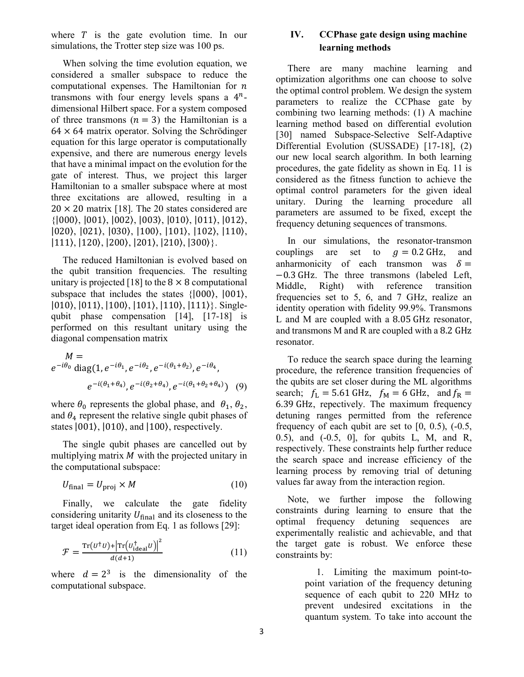where  $T$  is the gate evolution time. In our simulations, the Trotter step size was 100 ps.

When solving the time evolution equation, we considered a smaller subspace to reduce the computational expenses. The Hamiltonian for  $n$ transmons with four energy levels spans a  $4^n$ dimensional Hilbert space. For a system composed of three transmons  $(n = 3)$  the Hamiltonian is a  $64 \times 64$  matrix operator. Solving the Schrödinger equation for this large operator is computationally expensive, and there are numerous energy levels that have a minimal impact on the evolution for the gate of interest. Thus, we project this larger Hamiltonian to a smaller subspace where at most three excitations are allowed, resulting in a  $20 \times 20$  matrix [18]. The 20 states considered are {|000〉, |001〉, |002〉, |003〉, |010〉, |011〉, |012〉, |020〉, |021〉, |030〉, |100〉, |101〉, |102〉, |110〉,  $|111\rangle$ ,  $|120\rangle$ ,  $|200\rangle$ ,  $|201\rangle$ ,  $|210\rangle$ ,  $|300\rangle$ .

The reduced Hamiltonian is evolved based on the qubit transition frequencies. The resulting unitary is projected [18] to the  $8 \times 8$  computational subspace that includes the states  $\{1000\}$ ,  $|001\rangle$ , |010〉, |011〉, |100〉, |101〉, |110〉, |111〉}. Singlequbit phase compensation [14], [17-18] is performed on this resultant unitary using the diagonal compensation matrix

$$
M = e^{-i\theta_0} \operatorname{diag}(1, e^{-i\theta_1}, e^{-i\theta_2}, e^{-i(\theta_1 + \theta_2)}, e^{-i\theta_4},
$$

$$
e^{-i(\theta_1 + \theta_4)}, e^{-i(\theta_2 + \theta_4)}, e^{-i(\theta_1 + \theta_2 + \theta_4)})
$$
(9)

where  $\theta_0$  represents the global phase, and  $\theta_1$ ,  $\theta_2$ , and  $\theta_4$  represent the relative single qubit phases of states  $|001\rangle$ ,  $|010\rangle$ , and  $|100\rangle$ , respectively.

The single qubit phases are cancelled out by multiplying matrix  $M$  with the projected unitary in the computational subspace:

$$
U_{\text{final}} = U_{\text{proj}} \times M \tag{10}
$$

Finally, we calculate the gate fidelity considering unitarity  $U_{final}$  and its closeness to the target ideal operation from Eq. 1 as follows [29]:

$$
\mathcal{F} = \frac{\text{Tr}(U^{\dagger}U) + |\text{Tr}(U_{\text{ideal}}^{\dagger}U)|^2}{d(d+1)}
$$
(11)

where  $d = 2^3$  is the dimensionality of the computational subspace.

# IV. CCPhase gate design using machine learning methods

There are many machine learning and optimization algorithms one can choose to solve the optimal control problem. We design the system parameters to realize the CCPhase gate by combining two learning methods: (1) A machine learning method based on differential evolution [30] named Subspace-Selective Self-Adaptive Differential Evolution (SUSSADE) [17-18], (2) our new local search algorithm. In both learning procedures, the gate fidelity as shown in Eq. 11 is considered as the fitness function to achieve the optimal control parameters for the given ideal unitary. During the learning procedure all parameters are assumed to be fixed, except the frequency detuning sequences of transmons.

In our simulations, the resonator-transmon couplings are set to  $q = 0.2$  GHz, and anharmonicity of each transmon was  $\delta =$ −0.3 GHz. The three transmons (labeled Left, Middle, Right) with reference transition frequencies set to 5, 6, and 7 GHz, realize an identity operation with fidelity 99.9%. Transmons L and M are coupled with a 8.05 GHz resonator, and transmons M and R are coupled with a 8.2 GHz resonator.

To reduce the search space during the learning procedure, the reference transition frequencies of the qubits are set closer during the ML algorithms search;  $f_L = 5.61$  GHz,  $f_M = 6$  GHz, and  $f_R =$ 6.39 GHz, repectively. The maximum frequency detuning ranges permitted from the reference frequency of each qubit are set to  $[0, 0.5)$ ,  $(-0.5, 0.5)$ 0.5), and (-0.5, 0], for qubits L, M, and R, respectively. These constraints help further reduce the search space and increase efficiency of the learning process by removing trial of detuning values far away from the interaction region.

Note, we further impose the following constraints during learning to ensure that the optimal frequency detuning sequences are experimentally realistic and achievable, and that the target gate is robust. We enforce these constraints by:

> 1. Limiting the maximum point-topoint variation of the frequency detuning sequence of each qubit to 220 MHz to prevent undesired excitations in the quantum system. To take into account the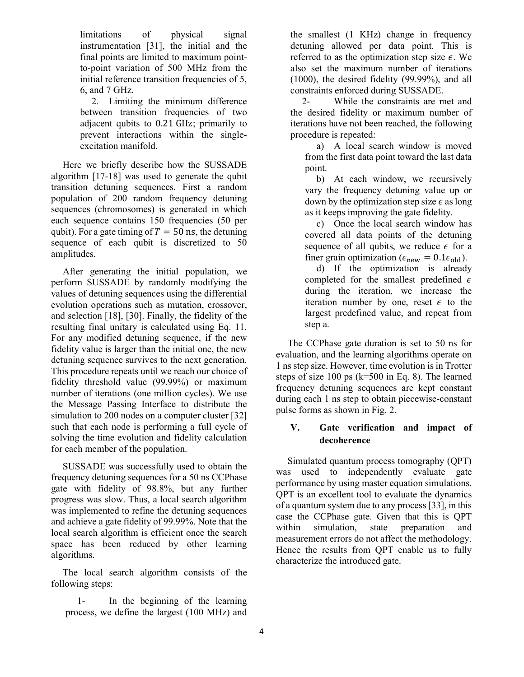limitations of physical signal instrumentation [31], the initial and the final points are limited to maximum pointto-point variation of 500 MHz from the initial reference transition frequencies of 5, 6, and 7 GHz.

2. Limiting the minimum difference between transition frequencies of two adjacent qubits to 0.21 GHz; primarily to prevent interactions within the singleexcitation manifold.

Here we briefly describe how the SUSSADE algorithm [17-18] was used to generate the qubit transition detuning sequences. First a random population of 200 random frequency detuning sequences (chromosomes) is generated in which each sequence contains 150 frequencies (50 per qubit). For a gate timing of  $T = 50$  ns, the detuning sequence of each qubit is discretized to 50 amplitudes.

After generating the initial population, we perform SUSSADE by randomly modifying the values of detuning sequences using the differential evolution operations such as mutation, crossover, and selection [18], [30]. Finally, the fidelity of the resulting final unitary is calculated using Eq. 11. For any modified detuning sequence, if the new fidelity value is larger than the initial one, the new detuning sequence survives to the next generation. This procedure repeats until we reach our choice of fidelity threshold value (99.99%) or maximum number of iterations (one million cycles). We use the Message Passing Interface to distribute the simulation to 200 nodes on a computer cluster [32] such that each node is performing a full cycle of solving the time evolution and fidelity calculation for each member of the population.

SUSSADE was successfully used to obtain the frequency detuning sequences for a 50 ns CCPhase gate with fidelity of 98.8%, but any further progress was slow. Thus, a local search algorithm was implemented to refine the detuning sequences and achieve a gate fidelity of 99.99%. Note that the local search algorithm is efficient once the search space has been reduced by other learning algorithms.

The local search algorithm consists of the following steps:

1- In the beginning of the learning process, we define the largest (100 MHz) and

the smallest (1 KHz) change in frequency detuning allowed per data point. This is referred to as the optimization step size  $\epsilon$ . We also set the maximum number of iterations (1000), the desired fidelity (99.99%), and all constraints enforced during SUSSADE.

2- While the constraints are met and the desired fidelity or maximum number of iterations have not been reached, the following procedure is repeated:

a) A local search window is moved from the first data point toward the last data point.

b) At each window, we recursively vary the frequency detuning value up or down by the optimization step size  $\epsilon$  as long as it keeps improving the gate fidelity.

c) Once the local search window has covered all data points of the detuning sequence of all qubits, we reduce  $\epsilon$  for a finer grain optimization ( $\epsilon_{\text{new}} = 0.1 \epsilon_{\text{old}}$ ).

d) If the optimization is already completed for the smallest predefined  $\epsilon$ during the iteration, we increase the iteration number by one, reset  $\epsilon$  to the largest predefined value, and repeat from step a.

The CCPhase gate duration is set to 50 ns for evaluation, and the learning algorithms operate on 1 ns step size. However, time evolution is in Trotter steps of size 100 ps  $(k=500 \text{ in Eq. 8})$ . The learned frequency detuning sequences are kept constant during each 1 ns step to obtain piecewise-constant pulse forms as shown in Fig. 2.

# V. Gate verification and impact of decoherence

Simulated quantum process tomography (QPT) was used to independently evaluate gate performance by using master equation simulations. QPT is an excellent tool to evaluate the dynamics of a quantum system due to any process [33], in this case the CCPhase gate. Given that this is QPT within simulation, state preparation and measurement errors do not affect the methodology. Hence the results from QPT enable us to fully characterize the introduced gate.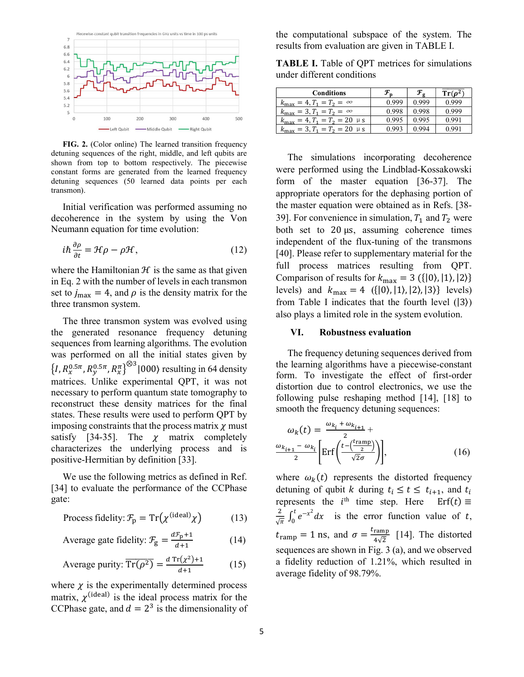

FIG. 2. (Color online) The learned transition frequency detuning sequences of the right, middle, and left qubits are shown from top to bottom respectively. The piecewise constant forms are generated from the learned frequency detuning sequences (50 learned data points per each transmon).

Initial verification was performed assuming no decoherence in the system by using the Von Neumann equation for time evolution:

$$
i\hbar \frac{\partial \rho}{\partial t} = \mathcal{H}\rho - \rho \mathcal{H},\qquad(12)
$$

where the Hamiltonian  $H$  is the same as that given in Eq. 2 with the number of levels in each transmon set to  $j_{\text{max}} = 4$ , and  $\rho$  is the density matrix for the three transmon system.

The three transmon system was evolved using the generated resonance frequency detuning sequences from learning algorithms. The evolution was performed on all the initial states given by  $\{I, R_x^{0.5\pi}, R_y^{0.5\pi}, R_x^{\pi}\}^{\otimes 3}$  [000) resulting in 64 density matrices. Unlike experimental QPT, it was not necessary to perform quantum state tomography to reconstruct these density matrices for the final states. These results were used to perform QPT by imposing constraints that the process matrix  $\chi$  must satisfy [34-35]. The  $\chi$  matrix completely characterizes the underlying process and is positive-Hermitian by definition [33].

We use the following metrics as defined in Ref. [34] to evaluate the performance of the CCPhase gate:

Process fidelity: 
$$
\mathcal{F}_p = \text{Tr}(\chi^{(\text{ideal})}\chi)
$$
 (13)

Average gate fidelity: 
$$
\mathcal{F}_{g} = \frac{d\mathcal{F}_{p}+1}{d+1}
$$
 (14)

Average purity: 
$$
\overline{\text{Tr}(\rho^2)} = \frac{d \text{Tr}(\chi^2) + 1}{d + 1}
$$
 (15)

where  $\chi$  is the experimentally determined process matrix,  $\chi^{\text{(ideal)}}$  is the ideal process matrix for the CCPhase gate, and  $d = 2^3$  is the dimensionality of the computational subspace of the system. The results from evaluation are given in TABLE I.

TABLE I. Table of QPT metrices for simulations under different conditions

| <b>Conditions</b>                        |       | F<br>ø | $Tr(n^2)$ |
|------------------------------------------|-------|--------|-----------|
| $=T_2 = \infty$<br>$\kappa_{\rm max}$    | 0.999 | 0.999  | 0.999     |
| $T_1 = T_2 = \infty$<br>$k_{\text{max}}$ | 0.998 | 0.998  | 0.999     |
| $k_{\text{max}}$<br>$T_2 = 20 \mu s$     | 0.995 | 0.995  | 0.991     |
| $\mu$ s<br>kmax                          | በ 993 | N 994  |           |

The simulations incorporating decoherence were performed using the Lindblad-Kossakowski form of the master equation [36-37]. The appropriate operators for the dephasing portion of the master equation were obtained as in Refs. [38- 39]. For convenience in simulation,  $T_1$  and  $T_2$  were both set to 20 μs, assuming coherence times independent of the flux-tuning of the transmons [40]. Please refer to supplementary material for the full process matrices resulting from QPT. Comparison of results for  $k_{\text{max}} = 3 \left( \{ |0\rangle, |1\rangle, |2\rangle \right)$ levels) and  $k_{\text{max}} = 4$  ({ $|0\rangle$ ,  $|1\rangle$ ,  $|2\rangle$ ,  $|3\rangle$ } levels) from Table I indicates that the fourth level  $(|3\rangle)$ also plays a limited role in the system evolution.

#### VI. Robustness evaluation

The frequency detuning sequences derived from the learning algorithms have a piecewise-constant form. To investigate the effect of first-order distortion due to control electronics, we use the following pulse reshaping method [14], [18] to smooth the frequency detuning sequences:

$$
\omega_k(t) = \frac{\omega_{k_i} + \omega_{k_{i+1}}}{2} + \frac{\omega_{k_{i+1}} - \omega_{k_i}}{2} \left[ \text{Erf}\left(\frac{t - \left(\frac{t \text{ramp}}{2}\right)}{\sqrt{2}\sigma}\right) \right],\tag{16}
$$

where  $\omega_k(t)$  represents the distorted frequency detuning of qubit k during  $t_i \le t \le t_{i+1}$ , and  $t_i$ represents the  $i^{\text{th}}$  time step. Here Erf(t)  $\equiv$ ଶ  $\frac{2}{\sqrt{\pi}} \int_0^t e^{-x^2} dx$  is the error function value of t,  $t_{\text{ramp}} = 1 \text{ ns}, \text{ and } \sigma = \frac{t_{\text{ramp}}}{4\sqrt{2}}$  $\frac{\text{ramp}}{4\sqrt{2}}$  [14]. The distorted sequences are shown in Fig. 3 (a), and we observed a fidelity reduction of 1.21%, which resulted in average fidelity of 98.79%.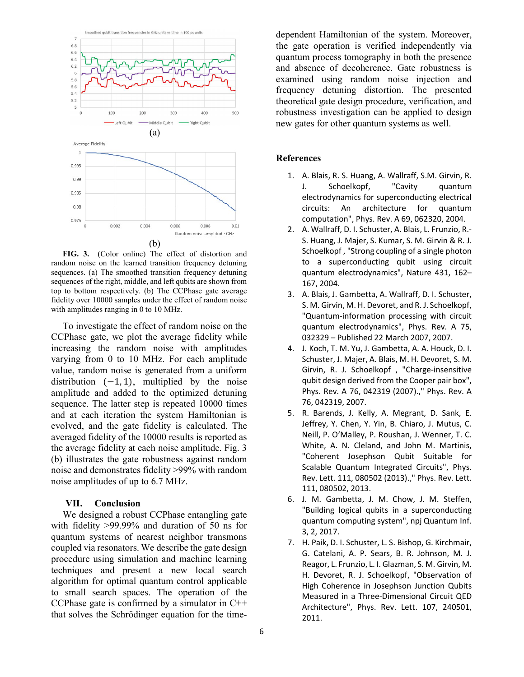

FIG. 3. (Color online) The effect of distortion and random noise on the learned transition frequency detuning sequences. (a) The smoothed transition frequency detuning sequences of the right, middle, and left qubits are shown from top to bottom respectively. (b) The CCPhase gate average fidelity over 10000 samples under the effect of random noise with amplitudes ranging in 0 to 10 MHz.

To investigate the effect of random noise on the CCPhase gate, we plot the average fidelity while increasing the random noise with amplitudes varying from 0 to 10 MHz. For each amplitude value, random noise is generated from a uniform distribution  $(-1, 1)$ , multiplied by the noise amplitude and added to the optimized detuning sequence. The latter step is repeated 10000 times and at each iteration the system Hamiltonian is evolved, and the gate fidelity is calculated. The averaged fidelity of the 10000 results is reported as the average fidelity at each noise amplitude. Fig. 3 (b) illustrates the gate robustness against random noise and demonstrates fidelity >99% with random noise amplitudes of up to 6.7 MHz.

#### VII. Conclusion

We designed a robust CCPhase entangling gate with fidelity >99.99% and duration of 50 ns for quantum systems of nearest neighbor transmons coupled via resonators. We describe the gate design procedure using simulation and machine learning techniques and present a new local search algorithm for optimal quantum control applicable to small search spaces. The operation of the CCPhase gate is confirmed by a simulator in C++ that solves the Schrödinger equation for the timedependent Hamiltonian of the system. Moreover, the gate operation is verified independently via quantum process tomography in both the presence and absence of decoherence. Gate robustness is examined using random noise injection and frequency detuning distortion. The presented theoretical gate design procedure, verification, and robustness investigation can be applied to design new gates for other quantum systems as well.

### References

- 1. A. Blais, R. S. Huang, A. Wallraff, S.M. Girvin, R. J. Schoelkopf, "Cavity quantum electrodynamics for superconducting electrical circuits: An architecture for quantum computation", Phys. Rev. A 69, 062320, 2004.
- 2. A. Wallraff, D. I. Schuster, A. Blais, L. Frunzio, R.- S. Huang, J. Majer, S. Kumar, S. M. Girvin & R. J. Schoelkopf , "Strong coupling of a single photon to a superconducting qubit using circuit quantum electrodynamics", Nature 431, 162– 167, 2004.
- 3. A. Blais, J. Gambetta, A. Wallraff, D. I. Schuster, S. M. Girvin, M. H. Devoret, and R. J. Schoelkopf, "Quantum-information processing with circuit quantum electrodynamics", Phys. Rev. A 75, 032329 – Published 22 March 2007, 2007.
- 4. J. Koch, T. M. Yu, J. Gambetta, A. A. Houck, D. I. Schuster, J. Majer, A. Blais, M. H. Devoret, S. M. Girvin, R. J. Schoelkopf , "Charge-insensitive qubit design derived from the Cooper pair box", Phys. Rev. A 76, 042319 (2007).," Phys. Rev. A 76, 042319, 2007.
- 5. R. Barends, J. Kelly, A. Megrant, D. Sank, E. Jeffrey, Y. Chen, Y. Yin, B. Chiaro, J. Mutus, C. Neill, P. O'Malley, P. Roushan, J. Wenner, T. C. White, A. N. Cleland, and John M. Martinis, "Coherent Josephson Qubit Suitable for Scalable Quantum Integrated Circuits", Phys. Rev. Lett. 111, 080502 (2013).," Phys. Rev. Lett. 111, 080502, 2013.
- 6. J. M. Gambetta, J. M. Chow, J. M. Steffen, "Building logical qubits in a superconducting quantum computing system", npj Quantum Inf. 3, 2, 2017.
- 7. H. Paik, D. I. Schuster, L. S. Bishop, G. Kirchmair, G. Catelani, A. P. Sears, B. R. Johnson, M. J. Reagor, L. Frunzio, L. I. Glazman, S. M. Girvin, M. H. Devoret, R. J. Schoelkopf, "Observation of High Coherence in Josephson Junction Qubits Measured in a Three-Dimensional Circuit QED Architecture", Phys. Rev. Lett. 107, 240501, 2011.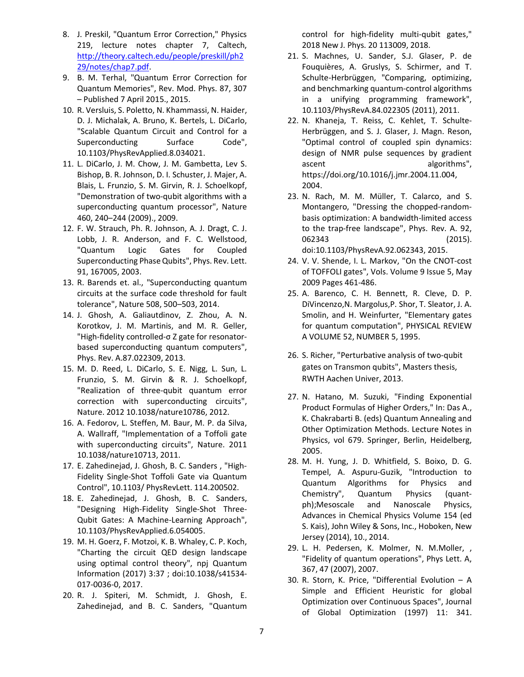- 8. J. Preskil, "Quantum Error Correction," Physics 219, lecture notes chapter 7, Caltech, http://theory.caltech.edu/people/preskill/ph2 29/notes/chap7.pdf.
- 9. B. M. Terhal, "Quantum Error Correction for Quantum Memories", Rev. Mod. Phys. 87, 307 – Published 7 April 2015., 2015.
- 10. R. Versluis, S. Poletto, N. Khammassi, N. Haider, D. J. Michalak, A. Bruno, K. Bertels, L. DiCarlo, "Scalable Quantum Circuit and Control for a Superconducting Surface Code", 10.1103/PhysRevApplied.8.034021.
- 11. L. DiCarlo, J. M. Chow, J. M. Gambetta, Lev S. Bishop, B. R. Johnson, D. I. Schuster, J. Majer, A. Blais, L. Frunzio, S. M. Girvin, R. J. Schoelkopf, "Demonstration of two-qubit algorithms with a superconducting quantum processor", Nature 460, 240–244 (2009)., 2009.
- 12. F. W. Strauch, Ph. R. Johnson, A. J. Dragt, C. J. Lobb, J. R. Anderson, and F. C. Wellstood, "Quantum Logic Gates for Coupled Superconducting Phase Qubits", Phys. Rev. Lett. 91, 167005, 2003.
- 13. R. Barends et. al., "Superconducting quantum circuits at the surface code threshold for fault tolerance", Nature 508, 500–503, 2014.
- 14. J. Ghosh, A. Galiautdinov, Z. Zhou, A. N. Korotkov, J. M. Martinis, and M. R. Geller, "High-fidelity controlled-σ Z gate for resonatorbased superconducting quantum computers", Phys. Rev. A.87.022309, 2013.
- 15. M. D. Reed, L. DiCarlo, S. E. Nigg, L. Sun, L. Frunzio, S. M. Girvin & R. J. Schoelkopf, "Realization of three-qubit quantum error correction with superconducting circuits", Nature. 2012 10.1038/nature10786, 2012.
- 16. A. Fedorov, L. Steffen, M. Baur, M. P. da Silva, A. Wallraff, "Implementation of a Toffoli gate with superconducting circuits", Nature. 2011 10.1038/nature10713, 2011.
- 17. E. Zahedinejad, J. Ghosh, B. C. Sanders , "High-Fidelity Single-Shot Toffoli Gate via Quantum Control", 10.1103/ PhysRevLett. 114.200502.
- 18. E. Zahedinejad, J. Ghosh, B. C. Sanders, "Designing High-Fidelity Single-Shot Three-Qubit Gates: A Machine-Learning Approach", 10.1103/PhysRevApplied.6.054005.
- 19. M. H. Goerz, F. Motzoi, K. B. Whaley, C. P. Koch, "Charting the circuit QED design landscape using optimal control theory", npj Quantum Information (2017) 3:37 ; doi:10.1038/s41534- 017-0036-0, 2017.
- 20. R. J. Spiteri, M. Schmidt, J. Ghosh, E. Zahedinejad, and B. C. Sanders, "Quantum

control for high-fidelity multi-qubit gates," 2018 New J. Phys. 20 113009, 2018.

- 21. S. Machnes, U. Sander, S.J. Glaser, P. de Fouquières, A. Gruslys, S. Schirmer, and T. Schulte-Herbrüggen, "Comparing, optimizing, and benchmarking quantum-control algorithms in a unifying programming framework", 10.1103/PhysRevA.84.022305 (2011), 2011.
- 22. N. Khaneja, T. Reiss, C. Kehlet, T. Schulte-Herbrüggen, and S. J. Glaser, J. Magn. Reson, "Optimal control of coupled spin dynamics: design of NMR pulse sequences by gradient ascent algorithms", https://doi.org/10.1016/j.jmr.2004.11.004, 2004.
- 23. N. Rach, M. M. Müller, T. Calarco, and S. Montangero, "Dressing the chopped-randombasis optimization: A bandwidth-limited access to the trap-free landscape", Phys. Rev. A. 92, 062343 (2015). doi:10.1103/PhysRevA.92.062343, 2015.
- 24. V. V. Shende, I. L. Markov, "On the CNOT-cost of TOFFOLI gates", Vols. Volume 9 Issue 5, May 2009 Pages 461-486.
- 25. A. Barenco, C. H. Bennett, R. Cleve, D. P. DiVincenzo,N. Margolus,P. Shor, T. Sleator, J. A. Smolin, and H. Weinfurter, "Elementary gates for quantum computation", PHYSICAL REVIEW A VOLUME 52, NUMBER 5, 1995.
- 26. S. Richer, "Perturbative analysis of two-qubit gates on Transmon qubits", Masters thesis, RWTH Aachen Univer, 2013.
- 27. N. Hatano, M. Suzuki, "Finding Exponential Product Formulas of Higher Orders," In: Das A., K. Chakrabarti B. (eds) Quantum Annealing and Other Optimization Methods. Lecture Notes in Physics, vol 679. Springer, Berlin, Heidelberg, 2005.
- 28. M. H. Yung, J. D. Whitfield, S. Boixo, D. G. Tempel, A. Aspuru-Guzik, "Introduction to Quantum Algorithms for Physics and Chemistry", Quantum Physics (quantph);Mesoscale and Nanoscale Physics, Advances in Chemical Physics Volume 154 (ed S. Kais), John Wiley & Sons, Inc., Hoboken, New Jersey (2014), 10., 2014.
- 29. L. H. Pedersen, K. Molmer, N. M.Moller, , "Fidelity of quantum operations", Phys Lett. A, 367, 47 (2007), 2007.
- 30. R. Storn, K. Price, "Differential Evolution A Simple and Efficient Heuristic for global Optimization over Continuous Spaces", Journal of Global Optimization (1997) 11: 341.